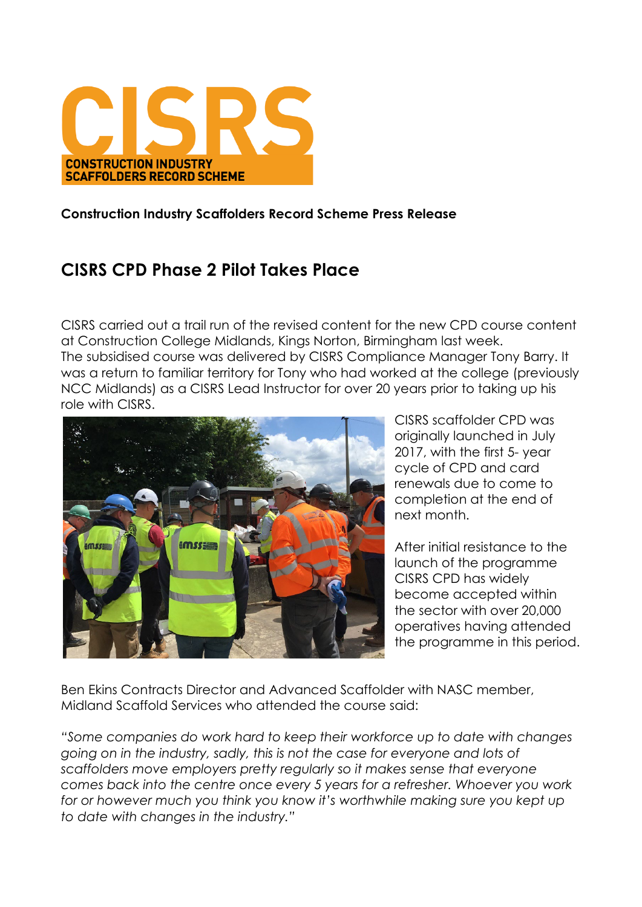

**Construction Industry Scaffolders Record Scheme Press Release**

## **CISRS CPD Phase 2 Pilot Takes Place**

CISRS carried out a trail run of the revised content for the new CPD course content at Construction College Midlands, Kings Norton, Birmingham last week. The subsidised course was delivered by CISRS Compliance Manager Tony Barry. It was a return to familiar territory for Tony who had worked at the college (previously NCC Midlands) as a CISRS Lead Instructor for over 20 years prior to taking up his role with CISRS.



CISRS scaffolder CPD was originally launched in July 2017, with the first 5- year cycle of CPD and card renewals due to come to completion at the end of next month.

After initial resistance to the launch of the programme CISRS CPD has widely become accepted within the sector with over 20,000 operatives having attended the programme in this period.

Ben Ekins Contracts Director and Advanced Scaffolder with NASC member, Midland Scaffold Services who attended the course said:

*"Some companies do work hard to keep their workforce up to date with changes going on in the industry, sadly, this is not the case for everyone and lots of scaffolders move employers pretty regularly so it makes sense that everyone comes back into the centre once every 5 years for a refresher. Whoever you work for or however much you think you know it's worthwhile making sure you kept up to date with changes in the industry."*